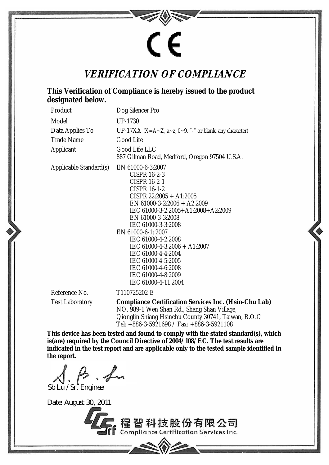

## **VERIFICATION OF COMPLIANCE**

## **This Verification of Compliance is hereby issued to the product designated below.**

| Product                | Dog Silencer Pro                                                                                                                                                                                                                                                                                                                                                                                                          |
|------------------------|---------------------------------------------------------------------------------------------------------------------------------------------------------------------------------------------------------------------------------------------------------------------------------------------------------------------------------------------------------------------------------------------------------------------------|
| Model                  | UP-1730                                                                                                                                                                                                                                                                                                                                                                                                                   |
| Data Applies To        | UP-17XX (X=A~Z, a~z, 0~9, "-" or blank, any character)                                                                                                                                                                                                                                                                                                                                                                    |
| <b>Trade Name</b>      | Good Life                                                                                                                                                                                                                                                                                                                                                                                                                 |
| Applicant              | Good Life LLC<br>887 Gilman Road, Medford, Oregon 97504 U.S.A.                                                                                                                                                                                                                                                                                                                                                            |
| Applicable Standard(s) | EN 61000-6-3:2007<br>CISPR 16-2-3<br><b>CISPR 16-2-1</b><br><b>CISPR 16-1-2</b><br>CISPR $22:2005 + A1:2005$<br>EN 61000-3-2:2006 + A2:2009<br>IEC 61000-3-2:2005+A1:2008+A2:2009<br>EN 61000-3-3:2008<br>IEC 61000-3-3:2008<br>EN 61000-6-1: 2007<br>IEC 61000-4-2:2008<br>$IEC 61000-4-3:2006 + A1:2007$<br>IEC 61000-4-4:2004<br>IEC 61000-4-5:2005<br>IEC 61000-4-6:2008<br>IEC 61000-4-8:2009<br>IEC 61000-4-11:2004 |
| Reference No.          | T110725202-E                                                                                                                                                                                                                                                                                                                                                                                                              |
| Tost Laboratory        | Compliance Cortification Services Inc. (Hein Chu                                                                                                                                                                                                                                                                                                                                                                          |

Test Laboratory **Compliance Certification Services Inc. (Hsin-Chu Lab)**  NO. 989-1 Wen Shan Rd., Shang Shan Village, Qionglin Shiang Hsinchu County 30741, Taiwan, R.O.C Tel: +886-3-5921698 / Fax: +886-3-5921108

**This device has been tested and found to comply with the stated standard(s), which is(are) required by the Council Directive of 2004/108/EC. The test results are indicated in the test report and are applicable only to the tested sample identified in the report.** 

Sb Lu / Sr. Engineer

Date: August 30, 2011